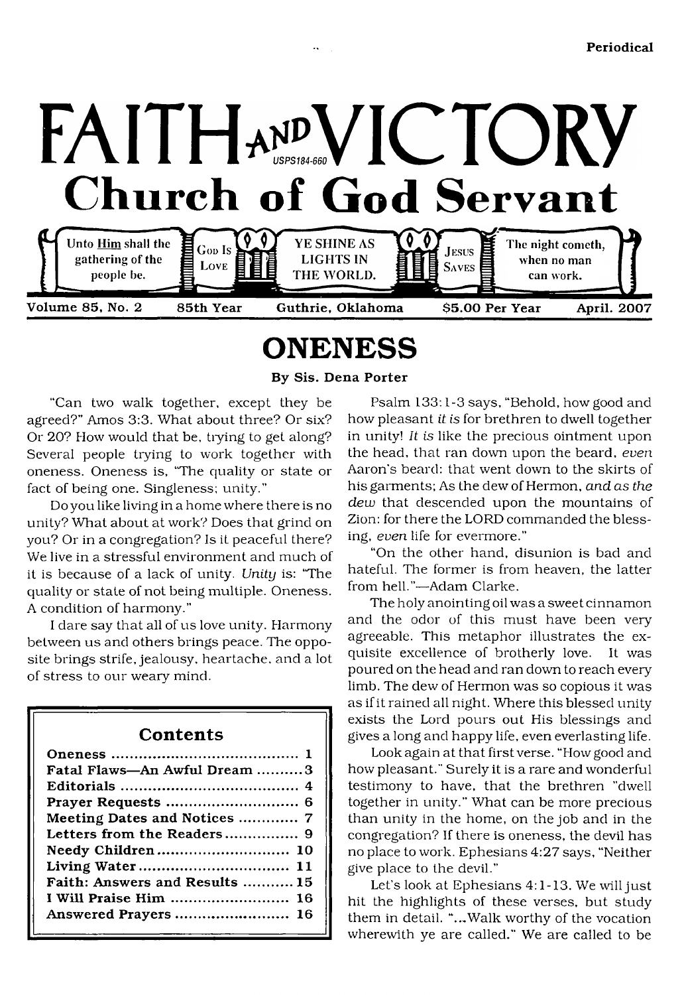

Volume 85, No. 2 85th Year Guthrie, Oklahoma \$5.00 Per Year April. 2007

# <span id="page-0-0"></span>**ONENESS**

By Sis. Dena Porter

"Can two walk together, except they be agreed?" Amos 3:3. What about three? Or six? Or 20? How would that be, tiying to get along? Several people trying to work together with oneness. Oneness is, 'The quality or state or fact of being one. Singleness: unity."

Do you like living in a home where there is no unity? What about at work? Does that grind on you? Or in a congregation? Is it peaceful there? We live in a stressful environment and much of it is because of a lack of unity. *Unity* is: 'The quality or state of not being multiple. Oneness. A condition of harmony."

I dare say that all of us love unity. Harmony between us and others brings peace. The opposite brings strife, jealousy, heartache, and a lot of stress to our weary mind.

| Contents                       |
|--------------------------------|
|                                |
| Fatal Flaws—An Awful Dream 3   |
|                                |
|                                |
| Meeting Dates and Notices  7   |
|                                |
| Needy Children 10              |
|                                |
| Faith: Answers and Results  15 |
| I Will Praise Him  16          |
| Answered Prayers  16           |

Psalm 133:1-3 says, "Behold, how good and how pleasant *it is* for brethren to dwell together in unity! *It is* like the precious ointment upon the head, that ran down upon the beard, *even* Aaron's beard: that went down to the skirts of his garments; As the dew of Hermon, *and as the dew* that descended upon the mountains of Zion: for there the LORD commanded the blessing, *even* life for evermore."

"On the other hand, disunion is bad and hateful. The former is from heaven, the latter from hell."—Adam Clarke.

The holy anointing oil was a sweet cinnamon and the odor of this must have been very agreeable. This metaphor illustrates the exquisite excellence of brotherly love. It was poured on the head and ran down to reach every limb. The dew of Hermon was so copious it was as if it rained all night. Where this blessed unity exists the Lord pours out His blessings and gives a long and happy life, even everlasting life.

Look again at that first verse. "How good and how pleasant." Surely it is a rare and wonderful testimony to have, that the brethren "dwell together in unity." What can be more precious than unity in the home, on the job and in the congregation? If there is oneness, the devil has no place to work. Ephesians 4:27 says, "Neither give place to the devil."

Let's look at Ephesians 4:1-13. We will just hit the highlights of these verses, but study them in detail. "..,Walk worthy of the vocation wherewith ye are called." We are called to be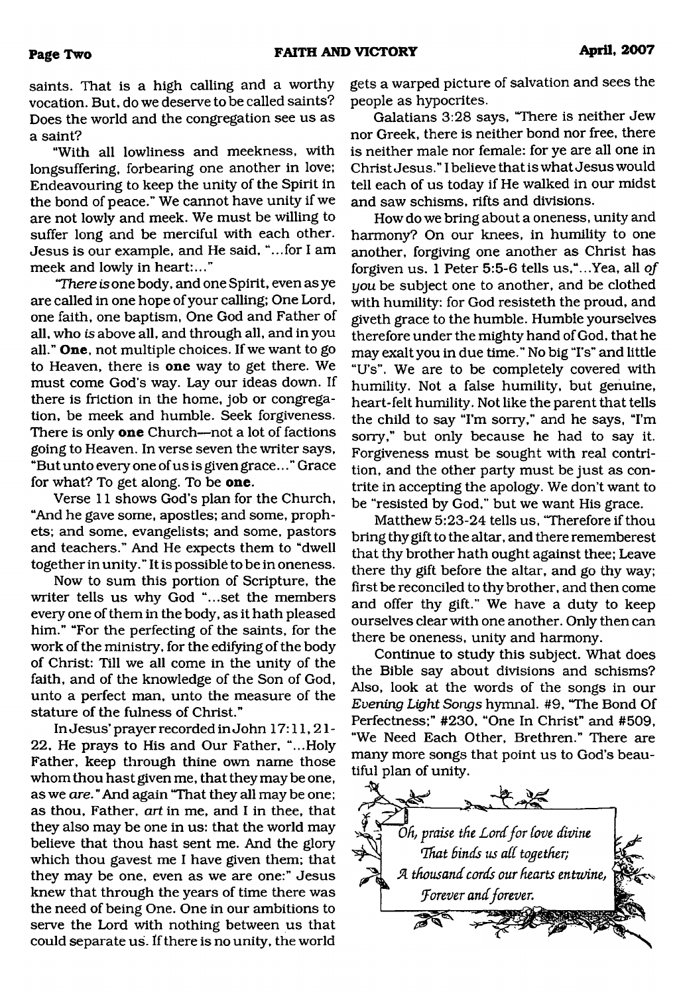**Page Two <b>FAITH AND VICTORY April, 2007** 

saints. That is a high calling and a worthy vocation. But, do we deserve to be called saints? Does the world and the congregation see us as a saint?

"With all lowliness and meekness, with longsuffering, forbearing one another in love; Endeavouring to keep the unity of the Spirit in the bond of peace." We cannot have unity if we are not lowly and meek. We must be willing to suffer long and be merciful with each other. Jesus is our example, and He said, "...for I am meek and lowly in heart:..."

*"There is* one body, and one Spirit, even as ye are called in one hope of your calling; One Lord, one faith, one baptism, One God and Father of all, who *is* above all, and through all, and in you all." **One,** not multiple choices. If we want to go to Heaven, there is **one** way to get there. We must come God's way. Lay our ideas down. If there is friction in the home, job or congregation, be meek and humble. Seek forgiveness. There is only **one** Church—not a lot of factions going to Heaven. In verse seven the writer says, "But unto every one of us is given grace... " Grace for what? To get along. To be **one.**

Verse 11 shows God's plan for the Church, "And he gave some, apostles; and some, prophets; and some, evangelists; and some, pastors and teachers." And He expects them to "dwell together in unity. " It is possible to be in oneness.

Now to sum this portion of Scripture, the writer tells us why God "...set the members every one of them in the body, as it hath pleased him." "For the perfecting of the saints, for the work of the ministry, for the edifying of the body of Christ: Till we all come in the unity of the faith, and of the knowledge of the Son of God, unto a perfect man, unto the measure of the stature of the fulness of Christ."

In Jesus' prayer recorded in John 17:11,21- 22, He prays to His and Our Father, "...Holy Father, keep through thine own name those whom thou hast given me, that they may be one, as we *are.* " And again "That they all may be one; as thou, Father, *art* in me, and I in thee, that they also may be one in us: that the world may believe that thou hast sent me. And the glory which thou gavest me I have given them; that they may be one, even as we are one:" Jesus knew that through the years of time there was the need of being One. One in our ambitions to serve the Lord with nothing between us that could separate us. If there is no unity, the world gets a warped picture of salvation and sees the people as hypocrites.

Galatians 3:28 says, "There is neither Jew nor Greek, there is neither bond nor free, there is neither male nor female: for ye are all one in Christ Jesus." I believe that is what Jesus would tell each of us today if He walked in our midst and saw schisms, rifts and divisions.

How do we bring about a oneness, unity and harmony? On our knees, in humility to one another, forgiving one another as Christ has forgiven us. 1 Peter 5:5-6 tells us,"...Yea, all *of you* be subject one to another, and be clothed with humility: for God resisteth the proud, and giveth grace to the humble. Humble yourselves therefore under the mighty hand of God, that he may exalt you in due time." No big "I's" and little "U's". We are to be completely covered with humility. Not a false humility, but genuine, heart-felt humility. Not like the parent that tells the child to say "I'm sorry," and he says, "I'm sorry," but only because he had to say it. Forgiveness must be sought with real contrition, and the other party must be just as contrite in accepting the apology. We don't want to be "resisted by God," but we want His grace.

Matthew 5:23-24 tells us, "Therefore if thou bring thy gift to the altar, and there rememberest that thy brother hath ought against thee; Leave there thy gift before the altar, and go thy way; first be reconciled to thy brother, and then come and offer thy gift." We have a duty to keep ourselves clear with one another. Only then can there be oneness, unity and harmony.

Continue to study this subject. What does the Bible say about divisions and schisms? Also, look at the words of the songs in our *Evening Light Songs* hymnal. #9, "The Bond Of Perfectness;" #230, "One In Christ" and #509, "We Need Each Other, Brethren." There are many more songs that point us to God's beautiful plan of unity.

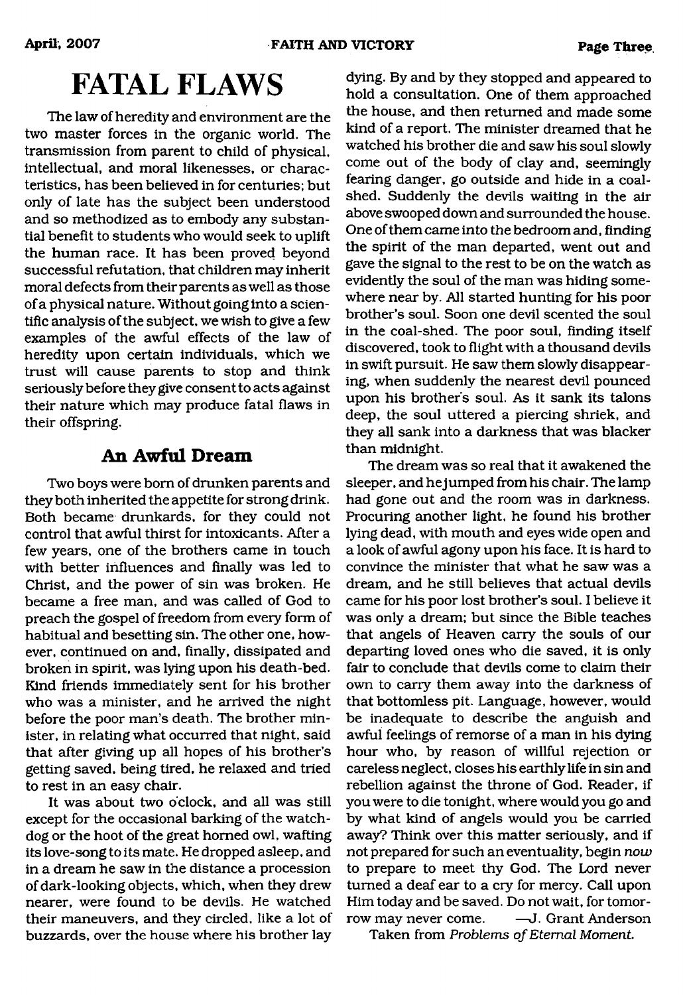# **FATAL FLAWS**

The law of heredity and environment are the two master forces in the organic world. The transmission from parent to child of physical, intellectual, and moral likenesses, or characteristics, has been believed in for centuries; but only of late has the subject been understood and so methodized as to embody any substantial benefit to students who would seek to uplift the human race. It has been proved beyond successful refutation, that children may inherit moral defects from their parents as well as those of a physical nature. Without going into a scientific analysis of the subject, we wish to give a few examples of the awful effects of the law of heredity upon certain individuals, which we trust will cause parents to stop and think seriously before they give consent to acts against their nature which may produce fatal flaws in their offspring.

### **An Awful Dream**

Two boys were born of drunken parents and they both inherited the appetite for strong drink. Both became drunkards, for they could not control that awful thirst for intoxicants. After a few years, one of the brothers came in touch with better influences and finally was led to Christ, and the power of sin was broken. He became a free man, and was called of God to preach the gospel of freedom from every form of habitual and besetting sin. The other one, however, continued on and, finally, dissipated and broken in spirit, was lying upon his death-bed. Kind friends immediately sent for his brother who was a minister, and he arrived the night before the poor man's death. The brother minister, in relating what occurred that night, said that after giving up all hopes of his brother's getting saved, being tired, he relaxed and tried to rest in an easy chair.

It was about two o'clock, and all was still except for the occasional barking of the watchdog or the hoot of the great horned owl, wafting its love-song to its mate. He dropped asleep, and in a dream he saw in the distance a procession of dark-looking objects, which, when they drew nearer, were found to be devils. He watched their maneuvers, and they circled, like a lot of buzzards, over the house where his brother lay

dying. By and by they stopped and appeared to hold a consultation. One of them approached the house, and then returned and made some kind of a report. The minister dreamed that he watched his brother die and saw his soul slowly come out of the body of clay and, seemingly fearing danger, go outside and hide in a coalshed. Suddenly the devils waiting in the air above swooped down and surrounded the house. One of them came into the bedroom and, finding the spirit of the man departed, went out and gave the signal to the rest to be on the watch as evidently the soul of the man was hiding somewhere near by. All started hunting for his poor brother's soul. Soon one devil scented the soul in the coal-shed. The poor soul, finding itself discovered, took to flight with a thousand devils in swift pursuit. He saw them slowly disappearing, when suddenly the nearest devil pounced upon his brother's soul. As it sank its talons deep, the soul uttered a piercing shriek, and they all sank into a darkness that was blacker than midnight.

The dream was so real that it awakened the sleeper, and he jumped from his chair. The lamp had gone out and the room was in darkness. Procuring another light, he found his brother lying dead, with mouth and eyes wide open and a look of awful agony upon his face. It is hard to convince the minister that what he saw was a dream, and he still believes that actual devils came for his poor lost brother's soul. I believe it was only a dream; but since the Bible teaches that angels of Heaven carry the souls of our departing loved ones who die saved, it is only fair to conclude that devils come to claim their own to carry them away into the darkness of that bottomless pit. Language, however, would be inadequate to describe the anguish and awful feelings of remorse of a man in his dying hour who, by reason of willful rejection or careless neglect, closes his earthly life in sin and rebellion against the throne of God. Reader, if you were to die tonight, where would you go and by what kind of angels would you be carried away? Think over this matter seriously, and if not prepared for such an eventuality, begin *now* to prepare to meet thy God. The Lord never turned a deaf ear to a cry for mercy. Call upon Him today and be saved. Do not wait, for tomorrow may never come. —J. Grant Anderson

Taken from *Problems of Eternal Moment*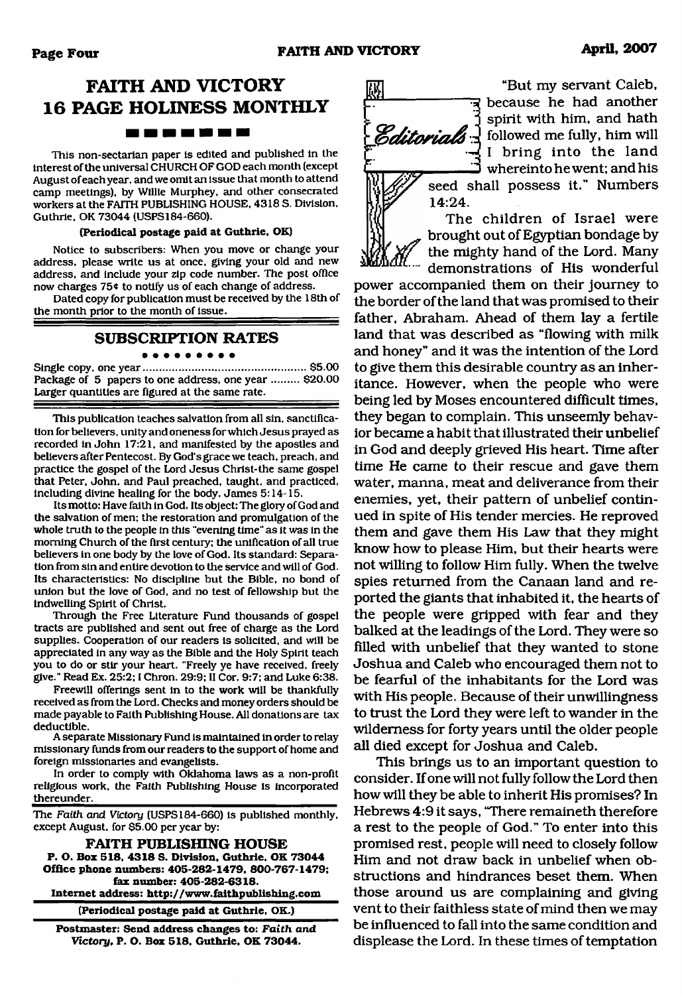## **FAITH AND VICTORY 16 PAGE HOLINESS MONTHLY** -------

This non-sectarian paper is edited and published in the interest of the universal CHURCH OF GOD each month (except August of each year, and we omit an issue that month to attend camp meetings), by Willie Murphey, and other consecrated workers at the FAITH PUBLISHING HOUSE, 4318 S. Division, Guthrie, OK 73044 (USPS184-660).

#### **(Periodical postage paid at Guthrie, OK)**

Notice to subscribers: When you move or change your address, please write us at once, giving your old and new address, and include your zip code number. The post office now charges 75¢ to notify us of each change of address.

Dated copy for publication must be received by the 18th of the month prior to the month of issue.

#### **SUBSCRIPTION RATES**

Single copy, one year......................................................\$5.00 Package of 5 papers to one address, one year ......... \$20.00 Larger quantities are figured at the same rate.

This publication teaches salvation from all sin, sanctification for believers, unity and oneness for which Jesus prayed as recorded in John 17:21, and manifested by the apostles and believers after Pentecost. By God's grace we teach, preach, and practice the gospel of the Lord Jesus Christ-the same gospel that Peter, John, and Paul preached, taught, and practiced, Including divine healing for the body. James 5:14-15.

Its motto: Have faith in God. Its object: The glory of God and the salvation of men: the restoration and promulgation of the whole truth to the people in this "evening time" as it was in the morning Church of the first century; the unification of all true believers in one body by the love of God. Its standard: Separation from sin and entire devotion to the service and will of God. Its characteristics: No discipline but the Bible, no bond of union but the love of God, and no test of fellowship but the indwelling Spirit of Christ.

Through the Free Literature Fund thousands of gospel tracts are published and sent out free of charge as the Lord supplies. Cooperation of our readers is solicited, and will be appreciated in any way as the Bible and the Holy Spirit teach you to do or stir your heart. "Freely ye have received, freely give." Read Ex. 25:2; I Chron. 29:9; II Cor. 9:7; and Luke 6:38.

Freewill offerings sent in to the work will be thankfully received as from the Lord. Checks and money orders should be made payable to Faith Publishing House. All donations are tax deductible.

A separate Missionary Fund is maintained in order to relay missionary funds from our readers to the support of home and foreign missionaries and evangelists.

In order to comply with Oklahoma laws as a non-profit religious work, the Faith Publishing House is incorporated thereunder.

The *Faith and Victory* (USPS184-660) is published monthly, except August, for \$5.00 per year by:

**FAITH PUBLISHING HOUSE P. O. Box 518, 4318 S. Division, Guthrie. OK 73044 Office phone numbers: 405-282-1479, 800-767-1479; fax number: 405-282-6318. Internet address: <http://www.faithpublishing.com>**

**(Periodical postage paid at Guthrie, OK.)**

**Postmaster: Send address changes to:** *Faith and Victory,* **P. O. Box 518, Guthrie, OK 73044.**



"But my servant Caleb, because he had another spirit with him, and hath *Editorials* **followed me fully**, him will I bring into the land whereinto he went; and his

seed shall possess it." Numbers 14:24.

The children of Israel were brought out of Egyptian bondage by the mighty hand of the Lord. Many demonstrations of His wonderful

power accompanied them on their journey to the border of the land that was promised to their father, Abraham. Ahead of them lay a fertile land that was described as "flowing with milk and honey" and it was the intention of the Lord to give them this desirable country as an inheritance. However, when the people who were being led by Moses encountered difficult times, they began to complain. This unseemly behavior became a habit that illustrated their unbelief in God and deeply grieved His heart. Time after time He came to their rescue and gave them water, manna, meat and deliverance from their enemies, yet, their pattern of unbelief continued in spite of His tender mercies. He reproved them and gave them His Law that they might know how to please Him, but their hearts were not willing to follow Him fully. When the twelve spies returned from the Canaan land and reported the giants that inhabited it, the hearts of the people were gripped with fear and they balked at the leadings of the Lord. They were so filled with unbelief that they wanted to stone Joshua and Caleb who encouraged them not to be fearful of the inhabitants for the Lord was with His people. Because of their unwillingness to trust the Lord they were left to wander in the wilderness for forty years until the older people all died except for Joshua and Caleb.

This brings us to an important question to consider. If one will not fully follow the Lord then how will they be able to inherit His promises? In Hebrews 4:9 it says, "There remaineth therefore a rest to the people of God." To enter into this promised rest, people will need to closely follow Him and not draw back in unbelief when obstructions and hindrances beset them. When those around us are complaining and giving vent to their faithless state of mind then we may be influenced to fall into the same condition and displease the Lord. In these times of temptation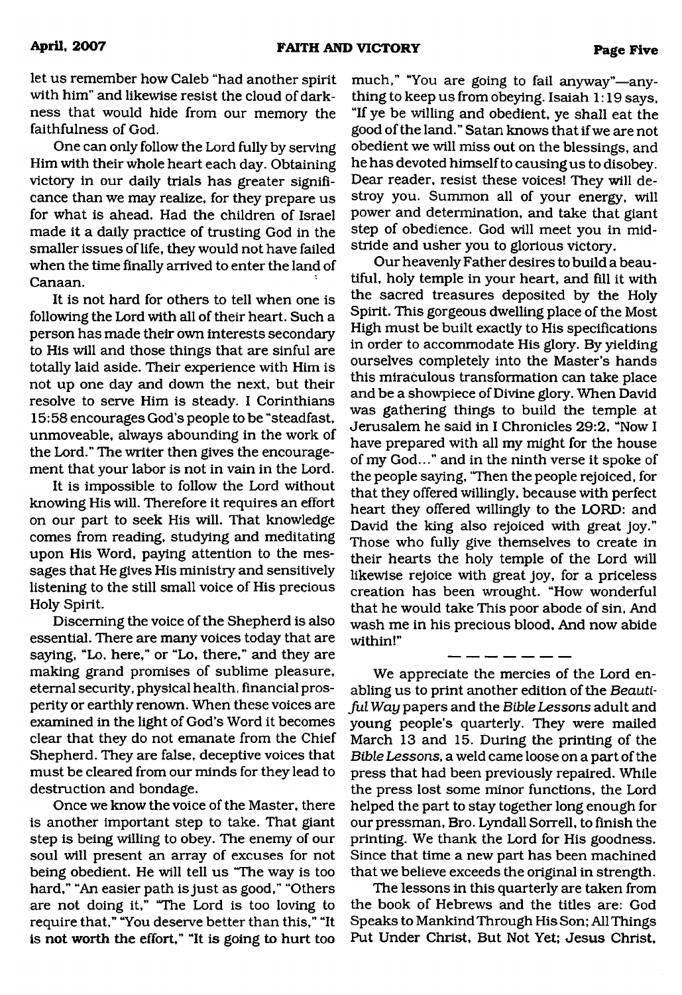let us remember how Caleb "had another spirit with him" and likewise resist the cloud of darkness that would hide from our memory the faithfulness of God.

One can only follow the Lord fully by serving Him with their whole heart each day. Obtaining victory in our daily trials has greater significance than we may realize, for they prepare us for what is ahead. Had the children of Israel made it a daily practice of trusting God in the smaller issues of life, they would not have failed when the time finally arrived to enter the land of Canaan.

It is not hard for others to tell when one is following the Lord with all of their heart. Such a person has made their own interests secondary to His will and those things that are sinful are totally laid aside. Their experience with Him is not up one day and down the next, but their resolve to serve Him is steady. I Corinthians 15:58 encourages God's people to be "steadfast, unmoveable, always abounding in the work of the Lord." The writer then gives the encouragement that your labor is not in vain in the Lord.

It is impossible to follow the Lord without knowing His will. Therefore it requires an effort on our part to seek His will. That knowledge comes from reading, studying and meditating upon His Word, paying attention to the messages that He gives His ministry and sensitively listening to the still small voice of His precious Holy Spirit.

Discerning the voice of the Shepherd is also essential. There are many voices today that are saying, "Lo, here," or "Lo, there," and they are making grand promises of sublime pleasure, eternal security, physical health, financial prosperity or earthly renown. When these voices are examined in the light of God's Word it becomes clear that they do not emanate from the Chief Shepherd. They are false, deceptive voices that must be cleared from our minds for they lead to destruction and bondage.

Once we know the voice of the Master, there is another important step to take. That giant step is being willing to obey. The enemy of our soul will present an array of excuses for not being obedient. He will tell us "The way is too hard," "An easier path is just as good," "Others are not doing it," "The Lord is too loving to require that," "You deserve better than this," "It is not worth the effort," "It is going to hurt too much," "You are going to fail anyway"—anything to keep us from obeying. Isaiah 1:19 says, "If ye be willing and obedient, ye shall eat the good of the land." Satan knows that if we are not obedient we will miss out on the blessings, and he has devoted himself to causing us to disobey. Dear reader, resist these voices! They will destroy you. Summon all of your energy, will power and determination, and take that giant step of obedience. God will meet you in midstride and usher you to glorious victory.

Our heavenly Father desires to build a beautiful, holy temple in your heart, and fill it with the sacred treasures deposited by the Holy Spirit. This gorgeous dwelling place of the Most High must be built exactly to His specifications in order to accommodate His glory. By yielding ourselves completely into the Master's hands this miraculous transformation can take place and be a showpiece of Divine glory. When David was gathering things to build the temple at Jerusalem he said in I Chronicles 29:2, "Now I have prepared with all my might for the house of my God..." and in the ninth verse it spoke of the people saying, "Then the people rejoiced, for that they offered willingly, because with perfect heart they offered willingly to the LORD: and David the king also rejoiced with great joy." Those who fully give themselves to create in their hearts the holy temple of the Lord will likewise rejoice with great joy, for a priceless creation has been wrought. "How wonderful that he would take This poor abode of sin, And wash me in his precious blood, And now abide within!"

We appreciate the mercies of the Lord enabling us to print another edition of the *Beautiful Way* papers and the *Bible Lessons* adult and young people's quarterly. They were mailed March 13 and 15. During the printing of the *Bible Lessons,* a weld came loose on a part of the press that had been previously repaired. While the press lost some minor functions, the Lord helped the part to stay together long enough for our pressman, Bro. Lyndall Sorrell, to finish the printing. We thank the Lord for His goodness. Since that time a new part has been machined that we believe exceeds the original in strength.

The lessons in this quarterly are taken from the book of Hebrews and the titles are: God Speaks to Mankind Through His Son; All Things Put Under Christ, But Not Yet; Jesus Christ,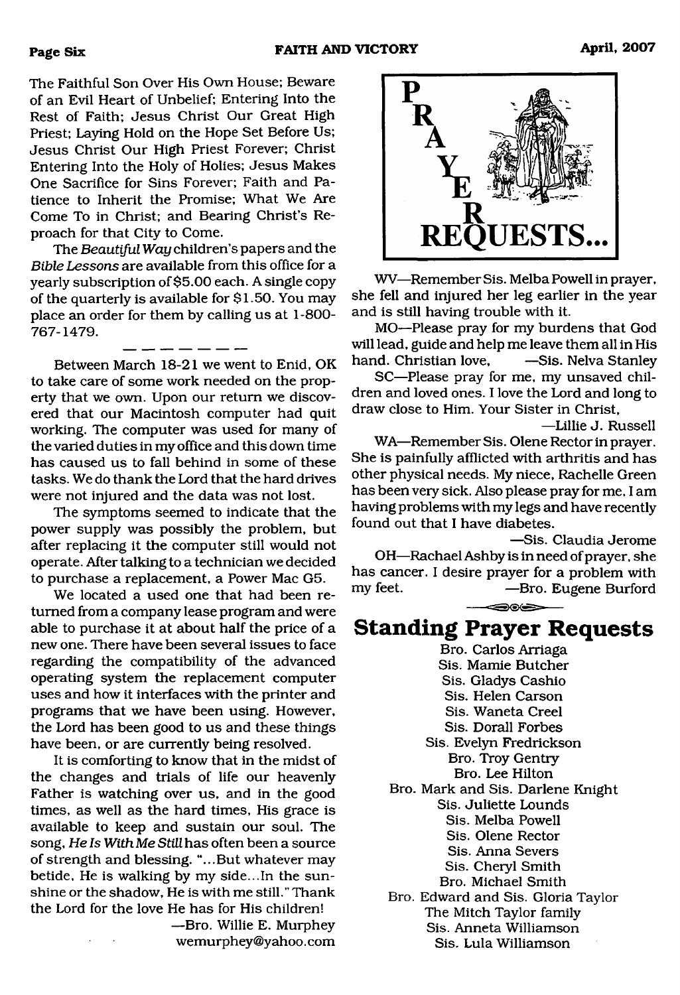The Faithful Son Over His Own House; Beware of an Evil Heart of Unbelief; Entering Into the Rest of Faith; Jesus Christ Our Great High Priest; Laying Hold on the Hope Set Before Us; Jesus Christ Our High Priest Forever; Christ Entering Into the Holy of Holies; Jesus Makes One Sacrifice for Sins Forever; Faith and Patience to Inherit the Promise; What We Are Come To in Christ; and Bearing Christ's Reproach for that City to Come.

The *Beautiful Way* children's papers and the *Bible Lessons* are available from this office for a yearly subscription of \$5.00 each. A single copy of the quarterly is available for \$1.50. You may place an order for them by calling us at 1-800- 767-1479.

Between March 18-21 we went to Enid, OK to take care of some work needed on the property that we own. Upon our return we discovered that our Macintosh computer had quit working. The computer was used for many of the varied duties in my office and this down time has caused us to fall behind in some of these tasks. We do thank the Lord that the hard drives were not injured and the data was not lost.

The symptoms seemed to indicate that the power supply was possibly the problem, but after replacing it the computer still would not operate. After talking to a technician we decided to purchase a replacement, a Power Mac G5.

We located a used one that had been returned from a company lease program and were able to purchase it at about half the price of a new one. There have been several issues to face regarding the compatibility of the advanced operating system the replacement computer uses and how it interfaces with the printer and programs that we have been using. However, the Lord has been good to us and these things have been, or are currently being resolved.

It is comforting to know that in the midst of the changes and trials of life our heavenly Father is watching over us, and in the good times, as well as the hard times, His grace is available to keep and sustain our soul. The song, *He Is With Me Still* has often been a source of strength and blessing. "...But whatever may betide, He is walking by my side...In the sunshine or the shadow, He is with me still." Thank the Lord for the love He has for His children!

—Bro. Willie E. Murphey [wemurphey@yahoo.com](mailto:wemurphey@yahoo.com)



WV—Remember Sis. Melba Powell in prayer, she fell and injured her leg earlier in the year and is still having trouble with it.

MO—Please pray for my burdens that God will lead, guide and help me leave them all in His hand. Christian love, —Sis. Nelva Stanley

SC—Please pray for me, my unsaved children and loved ones. I love the Lord and long to draw close to Him. Your Sister in Christ,

—Lillie J. Russell WA—Remember Sis. Olene Rector in prayer. She is painfully afflicted with arthritis and has other physical needs. My niece, Rachelle Green has been very sick. Also please pray for me, I am having problems with my legs and have recently found out that I have diabetes.

—Sis. Claudia Jerome OH—Rachael Ashby is in need of prayer, she has cancer. I desire prayer for a problem with<br>my feet. – Bro. Eugene Burford -Bro. Eugene Burford ⇔⊛⊜

# **Standing Prayer Requests**

Bro. Carlos Arriaga Sis. Mamie Butcher Sis. Gladys Cashio Sis. Helen Carson Sis. Waneta Creel Sis. Dorall Forbes Sis. Evelyn Fredrickson Bro. Troy Gentry Bro. Lee Hilton Bro. Mark and Sis. Darlene Knight Sis. Juliette Lounds Sis. Melba Powell Sis. Olene Rector Sis. Anna Severs Sis. Cheryl Smith Bro. Michael Smith Bro. Edward and Sis. Gloria Taylor The Mitch Taylor family Sis. Anneta Williamson Sis. Lula Williamson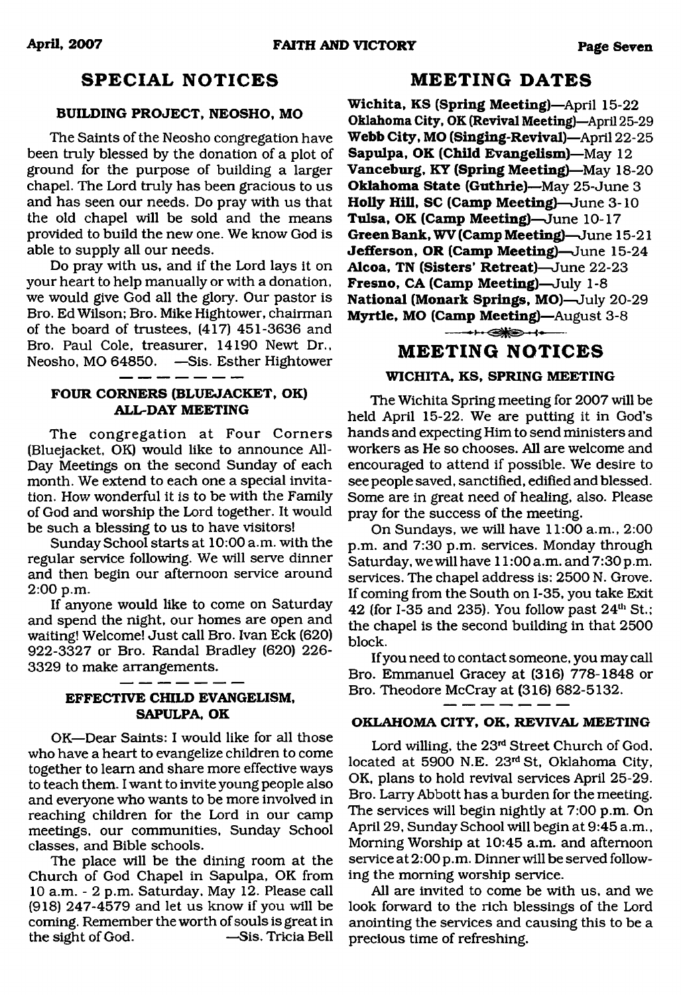### **SPECIAL NOTICES**

#### **BUILDING PROJECT, NEOSHO, MO**

The Saints of the Neosho congregation have been truly blessed by the donation of a plot of ground for the purpose of building a larger chapel. The Lord truly has been gracious to us and has seen our needs. Do pray with us that the old chapel will be sold and the means provided to build the new one. We know God is able to supply all our needs.

Do pray with us, and if the Lord lays it on your heart to help manually or with a donation, we would give God all the glory. Our pastor is Bro. Ed Wilson; Bro. Mike Hightower, chairman of the board of trustees, (417) 451-3636 and Bro. Paul Cole, treasurer, 14190 Newt Dr., Neosho, MO 64850. —Sis. Esther Hightower

#### **FOUR CORNERS (BLUEJACKET, OK) ALL-DAY MEETING**

- -

. ......

The congregation at Four Corners (Bluejacket, OK) would like to announce All-Day Meetings on the second Sunday of each month. We extend to each one a special invitation. How wonderful it is to be with the Family of God and worship the Lord together. It would be such a blessing to us to have visitors!

Sunday School starts at 10:00 a.m. with the regular service following. We will serve dinner and then begin our afternoon service around 2:00 p.m.

If anyone would like to come on Saturday and spend the night, our homes are open and waiting! Welcome! Just call Bro. Ivan Eck (620) 922-3327 or Bro. Randal Bradley (620) 226- 3329 to make arrangements.

#### **EFFECTIVE CHILD EVANGELISM, SAPULPA, OK**

OK.—Dear Saints: I would like for all those who have a heart to evangelize children to come together to learn and share more effective ways to teach them. I want to invite young people also and everyone who wants to be more involved in reaching children for the Lord in our camp meetings, our communities, Sunday School classes, and Bible schools.

The place will be the dining room at the Church of God Chapel in Sapulpa, OK from 10 a.m. - 2 p.m. Saturday, May 12. Please call (918) 247-4579 and let us know if you will be coming. Remember the worth of souls is great in the sight of God. —Sis. Tricia Bell

#### **MEETING DATES**

**Wichita, KS (Spring Meeting)—**April 15-22 **Oklahoma City, OK (Revival Meeting)—**April 25-29 **Webb City, MO (Singing-Revival)**—April 22-25 **Sapulpa, OK (Child Evangelism)**—May 12 **Vanceburg, KY (Spring Meeting)**—May 18-20 **Oklahoma State (Guthrie)—May 25-June 3 Holly Hill, SC (Camp Meeting)**—June 3-10 **Tulsa, OK (Camp Meeting)**—June 10-17 **Green Bank, WV (Camp Meeting)**—June 15-21 **Jefferson, OR (Camp Meeting)**—June 15-24 **Alcoa, TN (Sisters' Retreat)**—June 22-23 **Fresno, CA (Camp Meeting)**—July 1-8 **National (Monark Springs, MO)**—July 20-29 **Myrtle, MO (Camp Meeting)**—August 3-8

----o ■ ----

#### **MEETING NOTICES**

#### **WICHITA, KS, SPRING MEETING**

The Wichita Spring meeting for 2007 will be held April 15-22. We are putting it in God's hands and expecting Him to send ministers and workers as He so chooses. All are welcome and encouraged to attend if possible. We desire to see people saved, sanctified, edified and blessed. Some are in great need of healing, also. Please pray for the success of the meeting.

On Sundays, we will have 11:00 a.m., 2:00 p.m. and 7:30 p.m. services. Monday through Saturday, we will have 11:00 a.m. and 7:30 p.m. services. The chapel address is: 2500 N. Grove. If coming from the South on 1-35, you take Exit 42 (for I-35 and 235). You follow past  $24<sup>th</sup>$  St.; the chapel is the second building in that 2500 block.

If you need to contact someone, you may call Bro. Emmanuel Gracey at (316) 778-1848 or Bro. Theodore McCray at (316) 682-5132.

#### **OKLAHOMA CITY, OK, REVIVAL MEETING**

Lord willing, the 23rd Street Church of God, located at 5900 N.E. 23rd St, Oklahoma City, OK, plans to hold revival services April 25-29. Bro. Larry Abbott has a burden for the meeting. The services will begin nightly at 7:00 p.m. On April 29, Sunday School will begin at 9:45 a.m., Morning Worship at 10:45 a.m. and afternoon service at 2:00 p.m. Dinner will be served following the morning worship service.

All are invited to come be with us, and we look forward to the rich blessings of the Lord anointing the services and causing this to be a precious time of refreshing.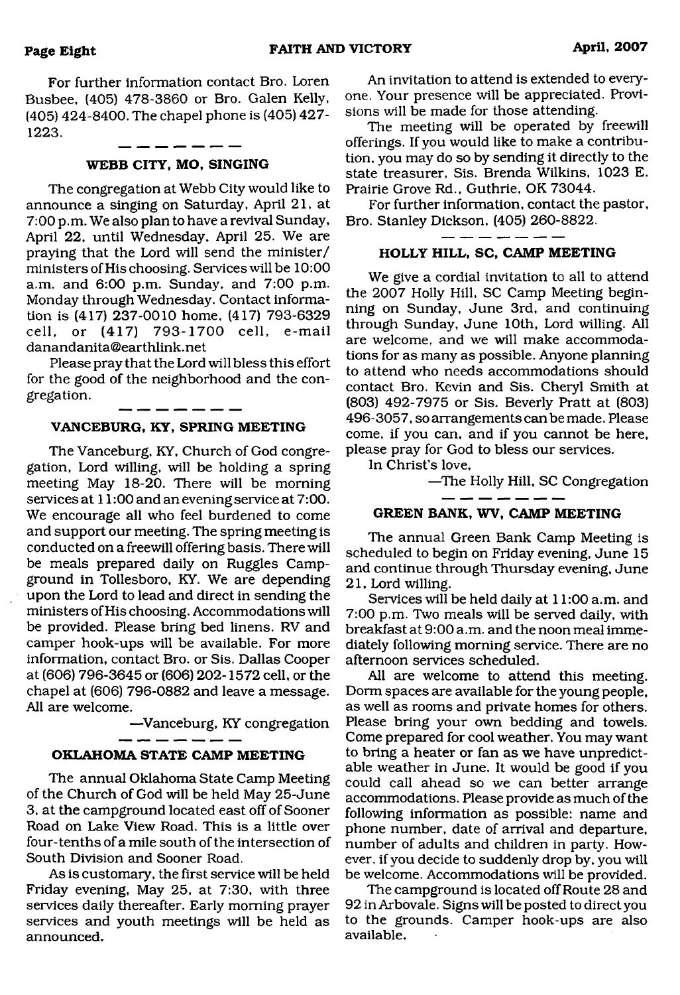For further information contact Bro. Loren Busbee, (405) 478-3860 or Bro. Galen Kelly, (405) 424-8400. The chapel phone is (405) 427- 1223.

#### **WEBB CITY, MO, SINGING**

The congregation at Webb City would like to announce a singing on Saturday, April 21, at 7:00 p.m. We also plan to have a revival Sunday, April 22, until Wednesday, April 25. We are praying that the Lord will send the minister/ ministers of His choosing. Services will be 10:00 a.m. and 6:00 p.m. Sunday, and 7:00 p.m. Monday through Wednesday. Contact information is (417) 237-0010 home. (417) 793-6329 cell, or (417) 793-1700 cell, e-mail [danandanita@earthlink.net](mailto:danandanita@earthlink.net)

Please pray that the Lord will bless this effort for the good of the neighborhood and the congregation.

#### . ... ... ... ... . **VANCEBURG, KY, SPRING MEETING**

The Vanceburg, KY, Church of God congregation, Lord willing, will be holding a spring meeting May 18-20. There will be morning services at 11:00 and an evening service at 7:00. We encourage all who feel burdened to come and support our meeting. The spring meeting is conducted on a freewill offering basis. There will be meals prepared daily on Ruggles Campground in Tollesboro, KY. We are depending upon the Lord to lead and direct in sending the ministers of His choosing. Accommodations will be provided. Please bring bed linens. RV and camper hook-ups will be available. For more information, contact Bro. or Sis. Dallas Cooper at (606) 796-3645 or (606) 202-1572 cell, or the chapel at (606) 796-0882 and leave a message. All are welcome.

—Vanceburg, KY congregation

#### **OKLAHOMA STATE CAMP MEETING**

The annual Oklahoma State Camp Meeting of the Church of God will be held May 25-June 3, at the campground located east off of Sooner Road on Lake View Road. This is a little over four-tenths of a mile south of the intersection of South Division and Sooner Road.

As is customary, the first service will be held Friday evening, May 25, at 7:30, with three services daily thereafter. Early morning prayer services and youth meetings will be held as announced.

An invitation to attend is extended to everyone. Your presence will be appreciated. Provisions will be made for those attending.

The meeting will be operated by freewill offerings. If you would like to make a contribution, you may do so by sending it directly to the state treasurer, Sis. Brenda Wilkins, 1023 E. Prairie Grove Rd., Guthrie, OK 73044.

For further information, contact the pastor, Bro. Stanley Dickson, (405) 260-8822.

#### \_\_\_\_\_ **HOLLY HILL, SC, CAMP MEETING**

We give a cordial invitation to all to attend the 2007 Holly Hill, SC Camp Meeting beginning on Sunday, June 3rd, and continuing through Sunday, June 10th, Lord willing. All are welcome, and we will make accommodations for as many as possible. Anyone planning to attend who needs accommodations should contact Bro. Kevin and Sis. Cheryl Smith at (803) 492-7975 or Sis. Beverly Pratt at (803) 496-3057, so arrangements can be made. Please come, if you can, and if you cannot be here, please pray for God to bless our services.

In Christ's love,

—The Holly Hill, SC Congregation

#### **GREEN BANK, WV, CAMP MEETING**

The annual Green Bank Camp Meeting is scheduled to begin on Friday evening, June 15 and continue through Thursday evening, June 21, Lord willing.

Services will be held daily at 11:00 a.m. and 7:00 p.m. Two meals will be served daily, with breakfast at 9:00 a.m. and the noon meal immediately following morning service. There are no afternoon services scheduled.

All are welcome to attend this meeting. Dorm spaces are available for the young people, as well as rooms and private homes for others. Please bring your own bedding and towels. Come prepared for cool weather. You may want to bring a heater or fan as we have unpredictable weather in June. It would be good if you could call ahead so we can better arrange accommodations. Please provide as much of the following information as possible: name and phone number, date of arrival and departure, number of adults and children in party. However, if you decide to suddenly drop by, you will be welcome. Accommodations will be provided.

The campground is located off Route 28 and 92 in Arbovale. Signs will be posted to direct you to the grounds. Camper hook-ups are also available.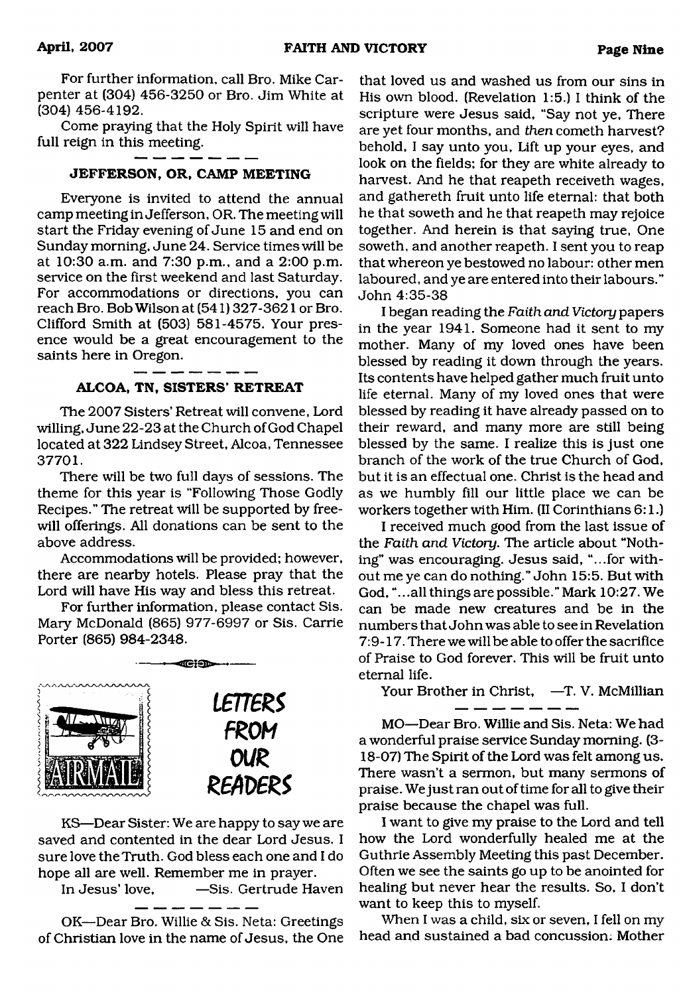For further information, call Bro. Mike Carpenter at (304) 456-3250 or Bro. Jim White at (304) 456-4192.

Come praying that the Holy Spirit will have full reign in this meeting.

#### **JEFFERSON, OR, CAMP MEETING**

Everyone is invited to attend the annual camp meeting in Jefferson, OR. The meeting will start the Friday evening of June 15 and end on Sunday morning, June 24. Service times will be at 10:30 a.m. and 7:30 p.m., and a 2:00 p.m. service on the first weekend and last Saturday. For accommodations or directions, you can reach Bro. Bob Wilson at (541) 327-3621 or Bro. Clifford Smith at (503) 581-4575. Your presence would be a great encouragement to the saints here in Oregon.

#### ALCOA, TN, SISTERS' RETREAT

The 2007 Sisters' Retreat will convene, Lord willing, June 22-23 at the Church of God Chapel located at 322 Lindsey Street, Alcoa, Tennessee 37701.

There will be two full days of sessions. The theme for this year is "Following Those Godly Recipes." The retreat will be supported by freewill offerings. All donations can be sent to the above address.

Accommodations will be provided; however, there are nearby hotels. Please pray that the Lord will have His way and bless this retreat.

For further information, please contact Sis. Mary McDonald (865) 977-6997 or Sis. Carrie Porter (865) 984-2348.



KS—Dear Sister: We are happy to say we are saved and contented in the dear Lord Jesus. I sure love the Truth. God bless each one and I do hope all are well. Remember me in prayer.

In Jesus' love, —Sis. Gertrude Haven

OK—Dear Bro. Willie & Sis. Neta: Greetings of Christian love in the name of Jesus, the One

that loved us and washed us from our sins in His own blood. (Revelation 1:5.) I think of the scripture were Jesus said, "Say not ye, There are yet four months, and *then* cometh harvest? behold, I say unto you, Lift up your eyes, and look on the fields; for they are white already to harvest. And he that reapeth receiveth wages, and gathereth fruit unto life eternal: that both he that soweth and he that reapeth may rejoice together. And herein is that saying true, One soweth, and another reapeth. I sent you to reap that whereon ye bestowed no labour: other men laboured, and ye are entered into their labours." John 4:35-38

I began reading the *Faith and Victory* papers in the year 1941. Someone had it sent to my mother. Many of my loved ones have been blessed by reading it down through the years. Its contents have helped gather much fruit unto life eternal. Many of my loved ones that were blessed by reading it have already passed on to their reward, and many more are still being blessed by the same. I realize this is just one branch of the work of the true Church of God, but it is an effectual one. Christ is the head and as we humbly fill our little place we can be workers together with Him. (II Corinthians 6:1.)

I received much good from the last issue of the *Faith and Victory.* The article about "Nothing" was encouraging. Jesus said, "...for without me ye can do nothing." John 15:5. But with God, "...all things are possible.'' Mark 10:27. We can be made new creatures and be in the numbers that John was able to see in Revelation 7:9-17. There we will be able to offer the sacrifice of Praise to God forever. This will be fruit unto eternal life.

Your Brother in Christ, -T. V. McMillian

MO—Dear Bro. Willie and Sis. Neta: We had a wonderful praise service Sunday morning. (3- 18-07) The Spirit of the Lord was felt among us. There wasn't a sermon, but many sermons of praise. We just ran out of time for all to give their praise because the chapel was full.

I want to give my praise to the Lord and tell how the Lord wonderfully healed me at the Guthrie Assembly Meeting this past December. Often we see the saints go up to be anointed for healing but never hear the results. So, I don't want to keep this to myself.

When I was a child, six or seven, I fell on my head and sustained a bad concussion; Mother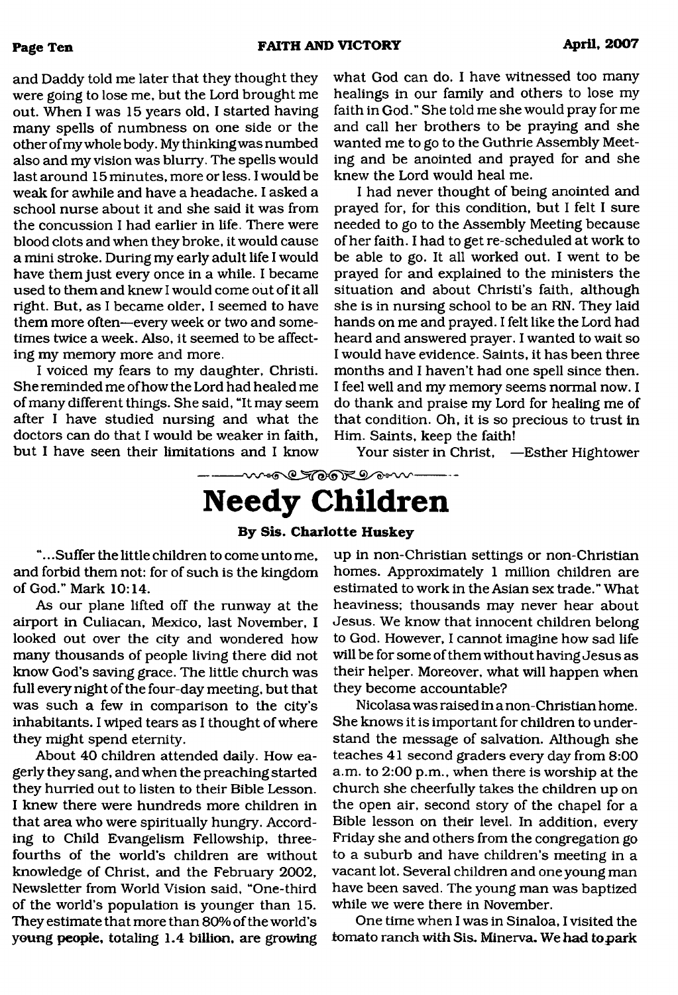and Daddy told me later that they thought they were going to lose me, but the Lord brought me out. When I was 15 years old, I started having many spells of numbness on one side or the other of my whole body. My thinking was numbed also and my vision was blurry. The spells would last around 15 minutes, more or less. I would be weak for awhile and have a headache. I asked a school nurse about it and she said it was from the concussion I had earlier in life. There were blood clots and when they broke, it would cause a mini stroke. During my early adult life I would have them just every once in a while. I became used to them and knew I would come out of it all right. But, as I became older, I seemed to have them more often—every week or two and sometimes twice a week. Also, it seemed to be affect-

ing my memory more and more. I voiced my fears to my daughter, Christi. She reminded me of how the Lord had healed me of many different things. She said, "It may seem after I have studied nursing and what the doctors can do that I would be weaker in faith, but I have seen their limitations and I know

what God can do. I have witnessed too many healings in our family and others to lose my faith in God." She told me she would pray for me and call her brothers to be praying and she wanted me to go to the Guthrie Assembly Meeting and be anointed and prayed for and she knew the Lord would heal me.

I had never thought of being anointed and prayed for, for this condition, but I felt I sure needed to go to the Assembly Meeting because of her faith. I had to get re-scheduled at work to be able to go. It all worked out. I went to be prayed for and explained to the ministers the situation and about Christi's faith, although she is in nursing school to be an RN. They laid hands on me and prayed. I felt like the Lord had heard and answered prayer. I wanted to wait so I would have evidence. Saints, it has been three months and I haven't had one spell since then. I feel well and my memory seems normal now. I do thank and praise my Lord for healing me of that condition. Oh, it is so precious to trust in Him. Saints, keep the faith!

Your sister in Christ, —Esther Hightower

<span id="page-9-0"></span>were Took I am .......

# **Needy Children**

#### **By Sis. Charlotte Huskey**

".. .Suffer the little children to come unto me, and forbid them not: for of such is the kingdom of God." Mark 10:14.

As our plane lifted off the runway at the airport in Culiacan, Mexico, last November, I looked out over the city and wondered how many thousands of people living there did not know God's saving grace. The little church was full every night of the four-day meeting, but that was such a few in comparison to the city's inhabitants. I wiped tears as I thought of where they might spend eternity.

About 40 children attended daily. How eagerly they sang, and when the preaching started they hurried out to listen to their Bible Lesson. I knew there were hundreds more children in that area who were spiritually hungry. According to Child Evangelism Fellowship, threefourths of the world's children are without knowledge of Christ, and the February 2002, Newsletter from World Vision said, "One-third of the world's population is younger than 15. They estimate that more than 80% of the world's young people, totaling 1.4 billion, are growing up in non-Christian settings or non-Christian homes. Approximately 1 million children are estimated to work in the Asian sex trade." What heaviness; thousands may never hear about Jesus. We know that innocent children belong to God. However, I cannot imagine how sad life will be for some of them without having Jesus as their helper. Moreover, what will happen when they become accountable?

Nicolasa was raised in a non-Christian home. She knows it is important for children to understand the message of salvation. Although she teaches 41 second graders every day from 8:00 a.m. to 2:00 p.m., when there is worship at the church she cheerfully takes the children up on the open air, second story of the chapel for a Bible lesson on their level. In addition, every Friday she and others from the congregation go to a suburb and have children's meeting in a vacant lot. Several children and one young man have been saved. The young man was baptized while we were there in November.

One time when I was in Sinaloa, I visited the tomato ranch with Sis. Minerva. We had topark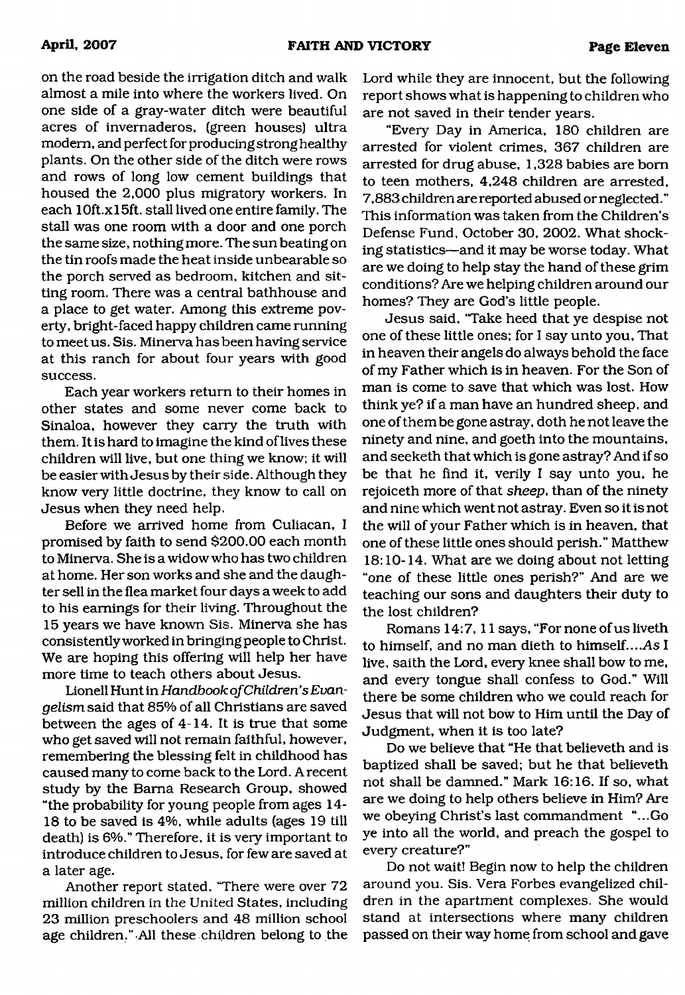on the road beside the irrigation ditch and walk almost a mile into where the workers lived. On one side of a gray-water ditch were beautiful acres of invernaderos, (green houses) ultra modem, and perfect for producing strong healthy plants. On the other side of the ditch were rows and rows of long low cement buildings that housed the 2,000 plus migratory workers. In each 10ft.xl5ft. stall lived one entire family. The stall was one room with a door and one porch the same size, nothing more. The sun beating on the tin roofs made the heat inside unbearable so the porch served as bedroom, kitchen and sitting room. There was a central bathhouse and a place to get water. Among this extreme poverty, bright-faced happy children came running to meet us. Sis. Minerva has been having service at this ranch for about four years with good success.

Each year workers return to their homes in other states and some never come back to Sinaloa, however they carry the truth with them. It is hard to imagine the kind of lives these children will live, but one thing we know; it will be easier with Jesus by their side. Although they know very little doctrine, they know to call on Jesus when they need help.

Before we arrived home from Culiacan, I promised by faith to send \$200.00 each month to Minerva. She is a widow who has two children at home. Her son works and she and the daughter sell in the flea market four days a week to add to his earnings for their living. Throughout the 15 years we have known Sis. Minerva she has consistently worked in bringing people to Christ. We are hoping this offering will help her have more time to teach others about Jesus.

Lionell Hunt in *Handbook of Children's Evangelism* said that 85% of all Christians are saved between the ages of 4-14. It is true that some who get saved will not remain faithful, however, remembering the blessing felt in childhood has caused many to come back to the Lord. A recent study by the Bama Research Group, showed "the probability for young people from ages 14- 18 to be saved is 4%, while adults (ages 19 till death) is 6%." Therefore, it is very important to introduce children to Jesus, for few are saved at a later age.

Another report stated, "There were over 72 million children in the United States, including 23 million preschoolers and 48 million school age children." All these children belong to the Lord while they are innocent, but the following report shows what is happening to children who are not saved in their tender years.

"Every Day in America, 180 children are arrested for violent crimes, 367 children are arrested for drug abuse, 1,328 babies are bom to teen mothers, 4,248 children are arrested, 7,883 children are reported abused or neglected." This information was taken from the Children's Defense Fund, October 30, 2002. What shocking statistics—and it may be worse today. What are we doing to help stay the hand of these grim conditions? Are we helping children around our homes? They are God's little people.

Jesus said, 'Take heed that ye despise not one of these little ones; for I say unto you, That in heaven their angels do always behold the face of my Father which is in heaven. For the Son of man is come to save that which was lost. How think ye? if a man have an hundred sheep, and one of them be gone astray, doth he not leave the ninety and nine, and goeth into the mountains, and seeketh that which is gone astray? And if so be that he find it, verily I say unto you, he rejoiceth more of that *sheep*, than of the ninety and nine which went not astray. Even so it is not the will of your Father which is in heaven, that one of these little ones should perish." Matthew 18:10-14. What are we doing about not letting "one of these little ones perish?" And are we teaching our sons and daughters their duty to the lost children?

Romans 14:7, 11 says, "For none of us liveth to himself, and no man dieth to himself*....As* I live, saith the Lord, every knee shall bow to me, and every tongue shall confess to God." Will there be some children who we could reach for Jesus that will not bow to Him until the Day of Judgment, when it is too late?

Do we believe that "He that believeth and is baptized shall be saved; but he that believeth not shall be damned." Mark 16:16. If so, what are we doing to help others believe in Him? Are we obeying Christ's last commandment "...Go ye into all the world, and preach the gospel to every creature?"

Do not wait! Begin now to help the children around you. Sis. Vera Forbes evangelized children in the apartment complexes. She would stand at intersections where many children passed on their way home from school and gave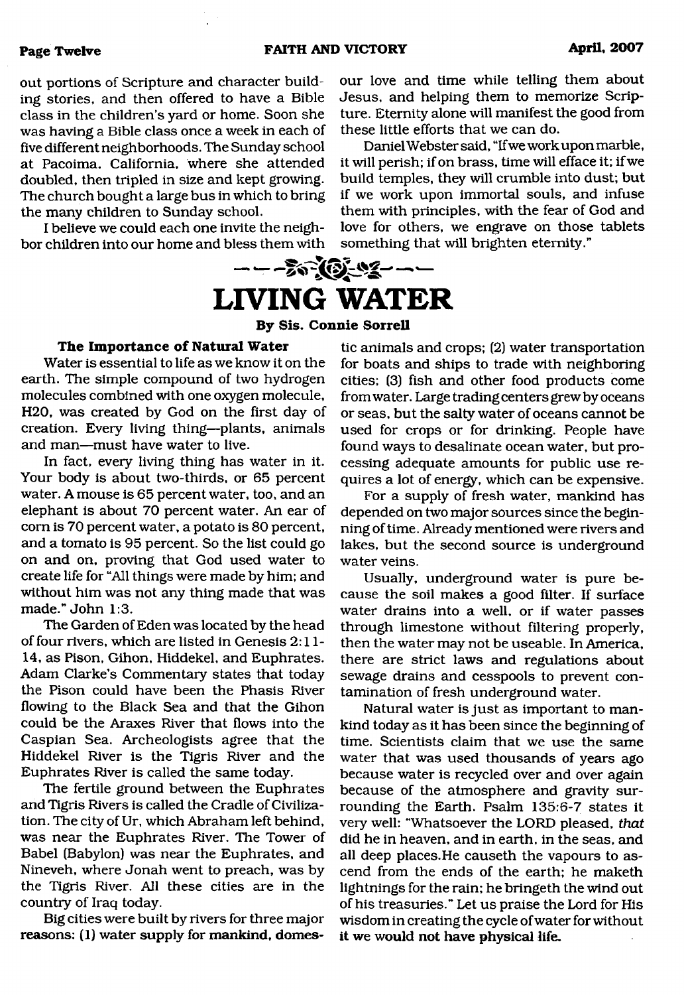#### **Page Twelve FAITH AND VICTORY April, 2007**

out portions of Scripture and character building stories, and then offered to have a Bible class in the children's yard or home. Soon she was having a Bible class once a week in each of five different neighborhoods. The Sunday school at Pacoima, California, where she attended doubled, then tripled in size and kept growing. The church bought a large bus in which to bring the many children to Sunday school.

I believe we could each one invite the neighbor children into our home and bless them with

our love and time while telling them about Jesus, and helping them to memorize Scripture. Eternity alone will manifest the good from these little efforts that we can do.

Daniel Webster said, "If we work upon marble, it will perish; if on brass, time will efface it; if we build temples, they will crumble into dust; but if we work upon immortal souls, and infuse them with principles, with the fear of God and love for others, we engrave on those tablets something that will brighten eternity."

<span id="page-11-0"></span>

#### **By Sis. Connie Sorrell**

#### **The Importance of Natural Water**

Water is essential to life as we know it on the earth. The simple compound of two hydrogen molecules combined with one oxygen molecule, H20, was created by God on the first day of creation. Every living thing—plants, animals and man—must have water to live.

In fact, every living thing has water in it. Your body is about two-thirds, or 65 percent water. A mouse is 65 percent water, too, and an elephant is about 70 percent water. An ear of com is 70 percent water, a potato is 80 percent, and a tomato is 95 percent. So the list could go on and on, proving that God used water to create life for "All things were made by him; and without him was not any thing made that was made." John 1:3.

The Garden of Eden was located by the head of four rivers, which are listed in Genesis 2:11- 14, as Pison, Gihon, Hiddekel, and Euphrates. Adam Clarke's Commentary states that today the Pison could have been the Phasis River flowing to the Black Sea and that the Gihon could be the Araxes River that flows into the Caspian Sea. Archeologists agree that the Hiddekel River is the Tigris River and the Euphrates River is called the same today.

The fertile ground between the Euphrates and Tigris Rivers is called the Cradle of Civilization. The city of Ur, which Abraham left behind, was near the Euphrates River. The Tower of Babel (Babylon) was near the Euphrates, and Nineveh, where Jonah went to preach, was by the Tigris River. All these cities are in the country of Iraq today.

Big cities were built by rivers for three major reasons: (1) water supply for mankind, domestic animals and crops; (2) water transportation for boats and ships to trade with neighboring cities; (3) fish and other food products come from water. Large trading centers grew by oceans or seas, but the salty water of oceans cannot be used for crops or for drinking. People have found ways to desalinate ocean water, but processing adequate amounts for public use requires a lot of energy, which can be expensive.

For a supply of fresh water, mankind has depended on two major sources since the beginning of time. Already mentioned were rivers and lakes, but the second source is underground water veins.

Usually, underground water is pure because the soil makes a good filter. If surface water drains into a well, or if water passes through limestone without filtering properly, then the water may not be useable. In America, there are strict laws and regulations about sewage drains and cesspools to prevent contamination of fresh underground water.

Natural water is just as important to mankind today as it has been since the beginning of time. Scientists claim that we use the same water that was used thousands of years ago because water is recycled over and over again because of the atmosphere and gravity surrounding the Earth. Psalm 135:6-7 states it very well: "Whatsoever the LORD pleased, *that* did he in heaven, and in earth, in the seas, and all deep places.He causeth the vapours to ascend from the ends of the earth; he maketh lightnings for the rain; he bringeth the wind out of his treasuries." Let us praise the Lord for His wisdom in creating the cycle of water for without it we would not have physical life.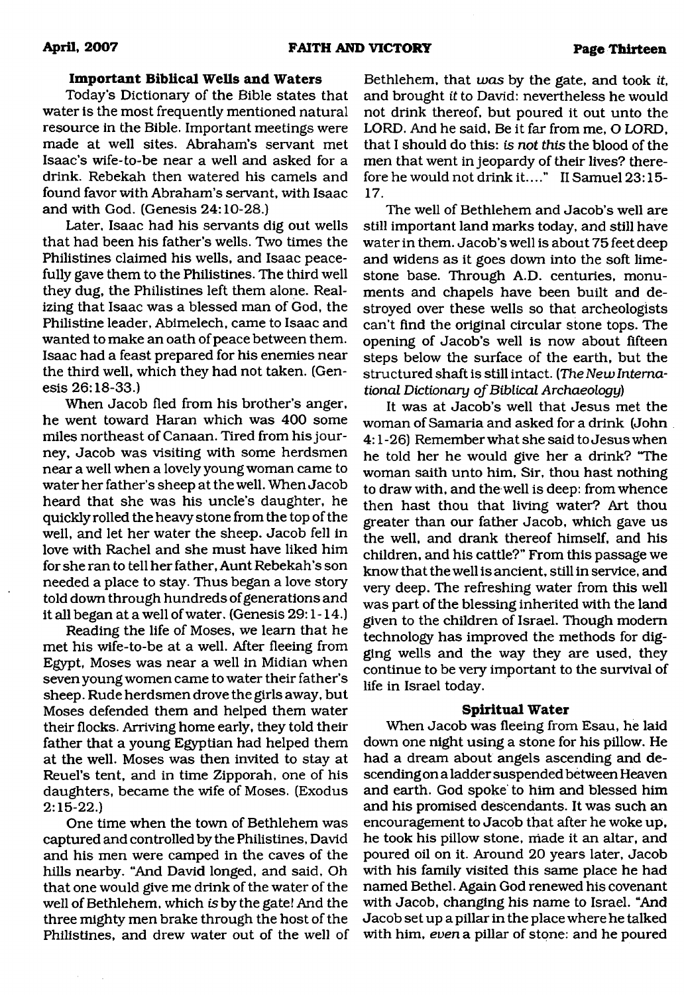#### **Important Biblical Wells and Waters**

Today's Dictionary of the Bible states that water is the most frequently mentioned natural resource in the Bible. Important meetings were made at well sites. Abraham's servant met Isaac's wife-to-be near a well and asked for a drink. Rebekah then watered his camels and found favor with Abraham's servant, with Isaac and with God. (Genesis 24:10-28.)

Later, Isaac had his servants dig out wells that had been his father's wells. Two times the Philistines claimed his wells, and Isaac peacefully gave them to the Philistines. The third well they dug, the Philistines left them alone. Realizing that Isaac was a blessed man of God, the Philistine leader, Abimelech, came to Isaac and wanted to make an oath of peace between them. Isaac had a feast prepared for his enemies near the third well, which they had not taken. (Genesis 26:18-33.)

When Jacob fled from his brother's anger, he went toward Haran which was 400 some miles northeast of Canaan. Tired from his journey, Jacob was visiting with some herdsmen near a well when a lovely young woman came to water her father's sheep at the well. When Jacob heard that she was his uncle's daughter, he quickly rolled the heavy stone from the top of the well, and let her water the sheep. Jacob fell in love with Rachel and she must have liked him for she ran to tell her father, Aunt Rebekah's son needed a place to stay. Thus began a love story told down through hundreds of generations and it all began at a well of water. (Genesis 29:1 -14.)

Reading the life of Moses, we learn that he met his wife-to-be at a well. After fleeing from Egypt, Moses was near a well in Midian when seven young women came to water their father's sheep. Rude herdsmen drove the girls away, but Moses defended them and helped them water their flocks. Arriving home early, they told their father that a young Egyptian had helped them at the well. Moses was then invited to stay at Reuel's tent, and in time Zipporah, one of his daughters, became the wife of Moses. (Exodus 2:15-22.)

One time when the town of Bethlehem was captured and controlled by the Philistines, David and his men were camped in the caves of the hills nearby. "And David longed, and said, Oh that one would give me drink of the water of the well of Bethlehem, which *is* by the gate! And the three mighty men brake through the host of the Philistines, and drew water out of the well of

Bethlehem, that *was* by the gate, and took *it,* and brought *it* to David: nevertheless he would not drink thereof, but poured it out unto the LORD. And he said, Be it far from me, O LORD, that I should do this: *is not this* the blood of the men that went in jeopardy of their lives? therefore he would not drink it...." II Samuel 23:15-17.

The well of Bethlehem and Jacob's well are still important land marks today, and still have water in them. Jacob's well is about 75 feet deep and widens as it goes down into the soft limestone base. Through A.D. centuries, monuments and chapels have been built and destroyed over these wells so that archeologists can't find the original circular stone tops. The opening of Jacob's well is now about fifteen steps below the surface of the earth, but the structured shaft is still intact. (*The New International Dictionary of Biblical Archaeology*)

It was at Jacob's well that Jesus met the woman of Samaria and asked for a drink (John 4:1 -26) Remember what she said to Jesus when he told her he would give her a drink? "The woman saith unto him, Sir, thou hast nothing to draw with, and the well is deep: from whence then hast thou that living water? Art thou greater than our father Jacob, which gave us the well, and drank thereof himself, and his children, and his cattle?" From this passage we know that the well is ancient, still in service, and very deep. The refreshing water from this well was part of the blessing inherited with the land given to the children of Israel. Though modem technology has improved the methods for digging wells and the way they are used, they continue to be very important to the survival of life in Israel today.

#### **Spiritual Water**

When Jacob was fleeing from Esau, he laid down one night using a stone for his pillow. He had a dream about angels ascending and descending on a ladder suspended between Heaven and earth. God spoke to him and blessed him and his promised descendants. It was such an encouragement to Jacob that after he woke up, he took his pillow stone, made it an altar, and poured oil on it. Around 20 years later, Jacob with his family visited this same place he had named Bethel. Again God renewed his covenant with Jacob, changing his name to Israel. "And Jacob set up a pillar in the place where he talked with him, *even* a pillar of stone: and he poured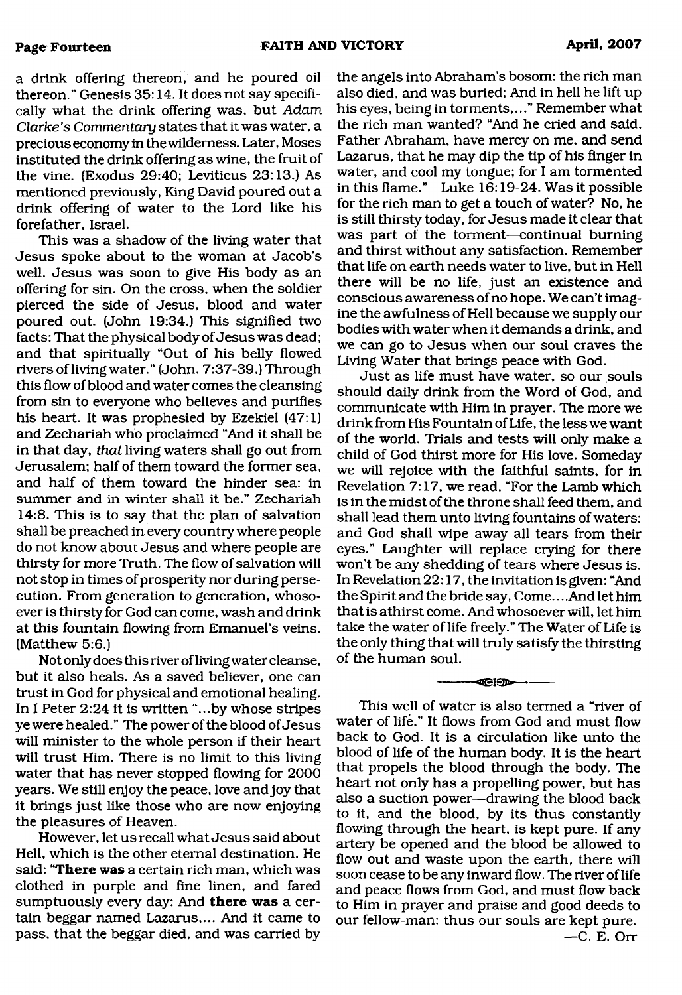a drink offering thereon, and he poured oil thereon." Genesis 35:14. It does not say specifically what the drink offering was, but *Adam Clarke's Commentary* states that it was water, a precious economy in the wilderness. Later, Moses instituted the drink offering as wine, the fruit of the vine. (Exodus 29:40; Leviticus 23:13.) As mentioned previously, King David poured out a drink offering of water to the Lord like his forefather, Israel.

This was a shadow of the living water that Jesus spoke about to the woman at Jacob's well. Jesus was soon to give His body as an offering for sin. On the cross, when the soldier pierced the side of Jesus, blood and water poured out. (John 19:34.) This signified two facts: That the physical body of Jesus was dead; and that spiritually "Out of his belly flowed rivers of living water." (John. 7:37-39.) Through this flow of blood and water comes the cleansing from sin to everyone who believes and purifies his heart. It was prophesied by Ezekiel (47:1) and Zechariah who proclaimed "And it shall be in that day, *that* living waters shall go out from Jerusalem; half of them toward the former sea, and half of them toward the hinder sea: in summer and in winter shall it be." Zechariah 14:8. This is to say that the plan of salvation shall be preached in every country where people do not know about Jesus and where people are thirsty for more Truth. The flow of salvation will not stop in times of prosperity nor during persecution. From generation to generation, whosoever is thirsty for God can come, wash and drink at this fountain flowing from Emanuel's veins. (Matthew 5:6.)

Not only does this river of living water cleanse, but it also heals. As a saved believer, one can trust in God for physical and emotional healing. In I Peter 2:24 it is written "...by whose stripes ye were healed." The power of the blood of Jesus will minister to the whole person if their heart will trust Him. There is no limit to this living water that has never stopped flowing for 2000 years. We still enjoy the peace, love and joy that it brings just like those who are now enjoying the pleasures of Heaven.

However, let us recall what Jesus said about Hell, which is the other eternal destination. He said: **"There was** a certain rich man, which was clothed in purple and fine linen, and fared sumptuously every day: And **there was** a certain beggar named Lazarus,... And it came to pass, that the beggar died, and was carried by

the angels into Abraham's bosom: the rich man also died, and was buried; And in hell he lift up his eyes, being in torments,..." Remember what the rich man wanted? "And he cried and said, Father Abraham, have mercy on me, and send Lazarus, that he may dip the tip of his finger in water, and cool my tongue; for I am tormented in this flame." Luke 16:19-24. Was it possible for the rich man to get a touch of water? No, he is still thirsty today, for Jesus made it clear that was part of the torment—continual burning and thirst without any satisfaction. Remember that life on earth needs water to live, but in Hell there will be no life, just an existence and conscious awareness of no hope. We can't imagine the awfulness of Hell because we supply our bodies with water when it demands a drink, and we can go to Jesus when our soul craves the Living Water that brings peace with God.

Just as life must have water, so our souls should daily drink from the Word of God, and communicate with Him in prayer. The more we drink from His Fountain of Life, the less we want of the world. Trials and tests will only make a child of God thirst more for His love. Someday we will rejoice with the faithful saints, for in Revelation 7:17, we read. "For the Lamb which is in the midst of the throne shall feed them, and shall lead them unto living fountains of waters: and God shall wipe away all tears from their eyes." Laughter will replace crying for there won't be any shedding of tears where Jesus is. In Revelation 22:17, the invitation is given: "And the Spirit and the bride say, Come... .And let him that is athirst come. And whosoever will, let him take the water of life freely." The Water of Life is the only thing that will truly satisfy the thirsting of the human soul.

This well of water is also termed a "river of water of life." It flows from God and must flow back to God. It is a circulation like unto the blood of life of the human body. It is the heart that propels the blood through the body. The heart not only has a propelling power, but has also a suction power—drawing the blood back to it, and the blood, by its thus constantly flowing through the heart, is kept pure. If any artery be opened and the blood be allowed to flow out and waste upon the earth, there will soon cease to be any inward flow. The river of life and peace flows from God, and must flow back to Him in prayer and praise and good deeds to our fellow-man: thus our souls are kept pure.  $-C. E.$  Orr

---- — -----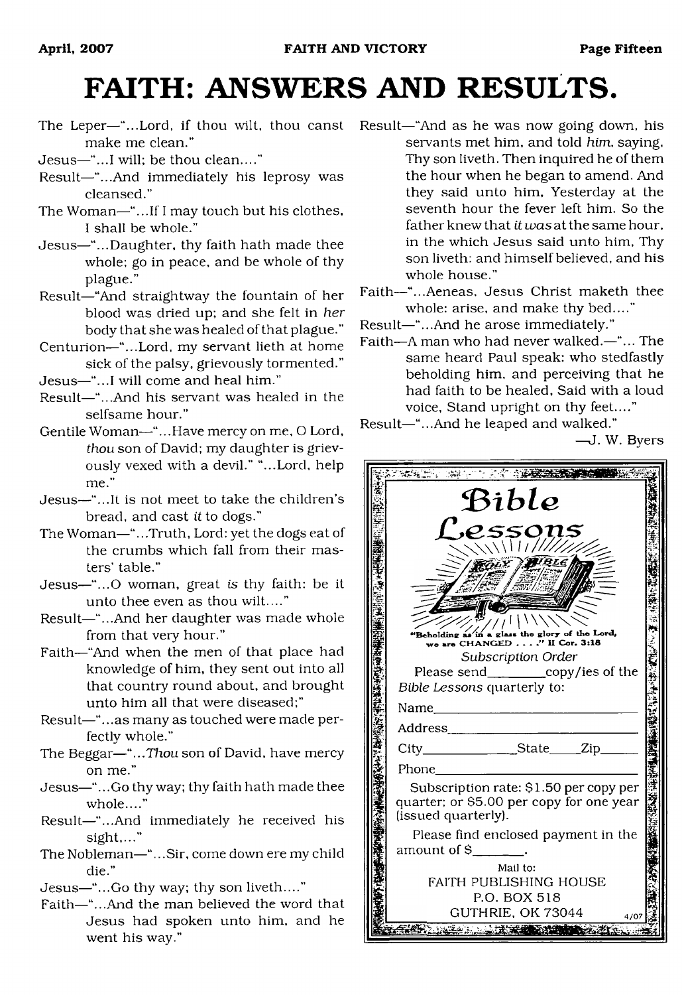# <span id="page-14-0"></span>**FAITH: ANSWERS AND RESULTS.**

- The Leper—"...Lord, if thou wilt, thou canst Result—"And as he was now going down, his make me clean."
- Jesus—"...I will; be thou clean...."
- Result—"...And immediately his leprosy was cleansed."
- The Woman—"...If I may touch but his clothes, I shall be whole."
- Jesus—"...Daughter, thy faith hath made thee whole; go in peace, and be whole of thy plague."
- Result—"And straightway the fountain of her blood was dried up; and she felt in *her* body that she was healed of that plague."
- Centurion—"...Lord, my servant lieth at home sick of the palsy, grievously tormented."
- Jesus—"...I will come and heal him."
- Result—"...And his servant was healed in the selfsame hour."
- Gentile Woman—"...Have mercy on me, O Lord, *thou* son of David; my daughter is grievously vexed with a devil." "...Lord, help me."
- Jesus—"...It is not meet to take the children's bread, and cast *it* to dogs."
- The Woman—"...Truth, Lord: yet the dogs eat of the crumbs which fall from their masters' table."
- Jesus—"...O woman, great is thy faith: be it unto thee even as thou wilt...."
- Result—"...And her daughter was made whole from that very hour."
- Faith—"And when the men of that place had knowledge of him, they sent out into all that country round about, and brought unto him all that were diseased;"
- Result—".. .as many as touched were made perfectly whole."
- The Beggar—*"...Thou* son of David, have mercy on me."
- Jesus—"...Go thy way; thy faith hath made thee whole...."
- Result—"...And immediately he received his sight,..."
- The Nobleman—"...Sir, come down ere my child die."
- Jesus—"...Go thy way; thy son liveth...."
- Faith—"...And the man believed the word that Jesus had spoken unto him, and he went his way."
- servants met him, and told *him,* saying, Thy son liveth. Then inquired he of them the hour when he began to amend. And they said unto him. Yesterday at the seventh hour the fever left him. So the father knew that *it was* at the same hour, in the which Jesus said unto him, Thy son liveth: and himself believed, and his whole house."
- Faith—"...Aeneas, Jesus Christ maketh thee whole: arise, and make thy bed...."
- Result—"...And he arose immediately."
- Faith—A man who had never walked.—"... The same heard Paul speak: who stedfastly beholding him, and perceiving that he had faith to be healed, Said with a loud voice, Stand upright on thy feet...."
- Result—"...And he leaped and walked."

—J. W. Byers

| APTと記念 将選 |                                                                                                           |  |  |
|-----------|-----------------------------------------------------------------------------------------------------------|--|--|
|           | Bible                                                                                                     |  |  |
|           | ssons<br>\\\/////                                                                                         |  |  |
|           |                                                                                                           |  |  |
|           | Beholding as in a glass the glory of the Lord,<br>we are CHANGED'' II Cor. 3:18                           |  |  |
|           | Subscription Order<br>Please send____________copy/ies of the<br>Bible Lessons quarterly to:               |  |  |
|           | Name<br>Address__________________                                                                         |  |  |
|           | City_________________State_____Zip_                                                                       |  |  |
|           | Phone                                                                                                     |  |  |
|           | Subscription rate: \$1.50 per copy per<br>quarter; or \$5.00 per copy for one year<br>(issued quarterly). |  |  |
|           | Please find enclosed payment in the<br>amount of \$                                                       |  |  |
|           | Mail to:<br>FAITH PUBLISHING HOUSE<br>P.O. BOX 518                                                        |  |  |
|           | GUTHRIE, OK 73044<br>4707                                                                                 |  |  |
|           |                                                                                                           |  |  |